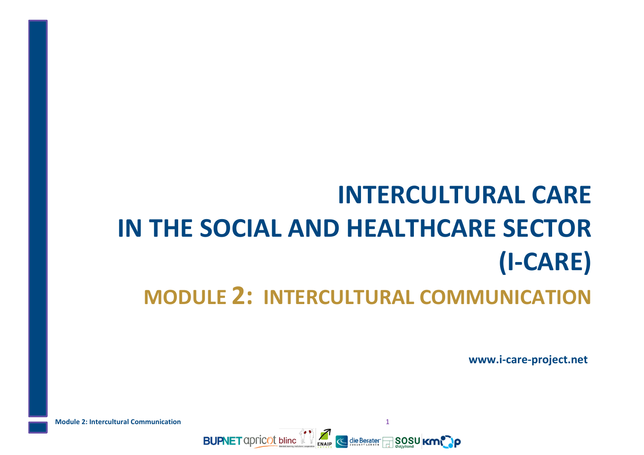# **INTERCULTURAL CARE IN THE SOCIAL AND HEALTHCARE SECTOR (I-CARE) MODULE 2: INTERCULTURAL COMMUNICATION**

**www.i-care-project.net**

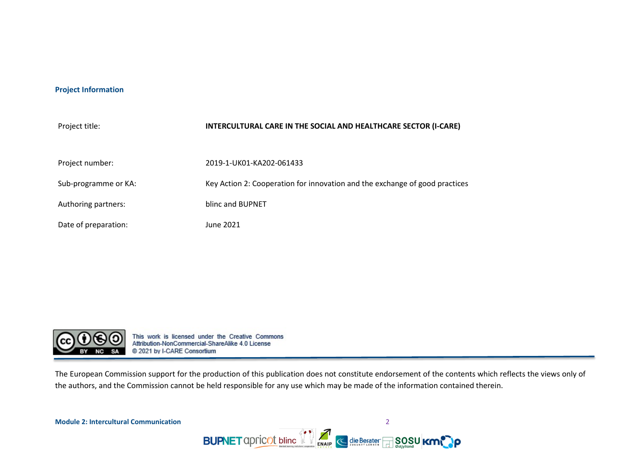# **Project Information**

| Project title:       | INTERCULTURAL CARE IN THE SOCIAL AND HEALTHCARE SECTOR (I-CARE)             |
|----------------------|-----------------------------------------------------------------------------|
| Project number:      | 2019-1-UK01-KA202-061433                                                    |
| Sub-programme or KA: | Key Action 2: Cooperation for innovation and the exchange of good practices |
| Authoring partners:  | blinc and BUPNET                                                            |
| Date of preparation: | June 2021                                                                   |



This work is licensed under the Creative Commons Attribution-NonCommercial-ShareAlike 4.0 License @ 2021 by I-CARE Consortium

The European Commission support for the production of this publication does not constitute endorsement of the contents which reflects the views only of the authors, and the Commission cannot be held responsible for any use which may be made of the information contained therein.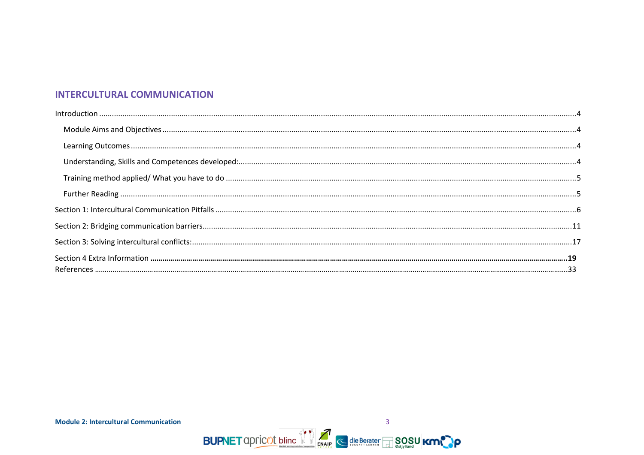# **INTERCULTURAL COMMUNICATION**

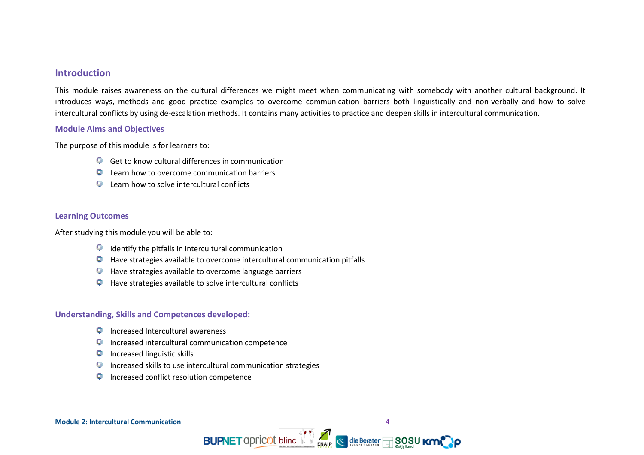# <span id="page-3-0"></span>**Introduction**

This module raises awareness on the cultural differences we might meet when communicating with somebody with another cultural background. It introduces ways, methods and good practice examples to overcome communication barriers both linguistically and non-verbally and how to solve intercultural conflicts by using de-escalation methods. It contains many activities to practice and deepen skills in intercultural communication.

# <span id="page-3-1"></span>**Module Aims and Objectives**

The purpose of this module is for learners to:

- $\Box$  Get to know cultural differences in communication
- $\Box$  Learn how to overcome communication barriers
- $\Box$  Learn how to solve intercultural conflicts

# <span id="page-3-2"></span>**Learning Outcomes**

After studying this module you will be able to:

- $\Box$  Identify the pitfalls in intercultural communication
- $\Box$  Have strategies available to overcome intercultural communication pitfalls
- $\Box$  Have strategies available to overcome language barriers
- $\Box$  Have strategies available to solve intercultural conflicts

# <span id="page-3-3"></span>**Understanding, Skills and Competences developed:**

- $\Box$  Increased Intercultural awareness
- $\Box$  Increased intercultural communication competence
- $\Box$ Increased linguistic skills
- $\Box$  Increased skills to use intercultural communication strategies
- g Increased conflict resolution competence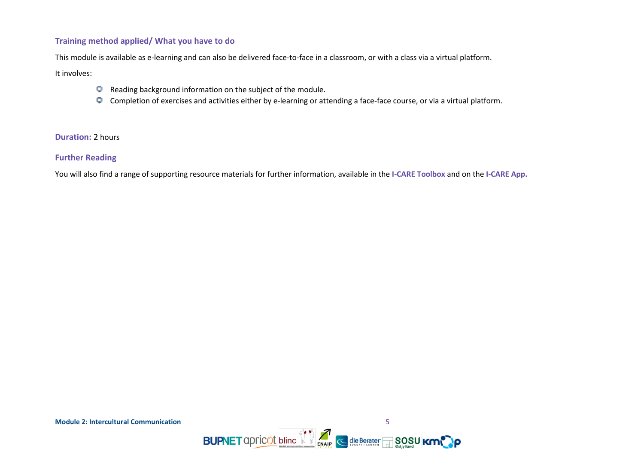# <span id="page-4-0"></span>**Training method applied/ What you have to do**

This module is available as e-learning and can also be delivered face-to-face in a classroom, or with a class via a virtual platform.

It involves:

- **P** Reading background information on the subject of the module.
- **D** Completion of exercises and activities either by e-learning or attending a face-face course, or via a virtual platform.

# <span id="page-4-1"></span>**Duration:** 2 hours

# **Further Reading**

<span id="page-4-2"></span>You will also find a range of supporting resource materials for further information, available in the **I-CARE Toolbox** and on the **I-CARE App.**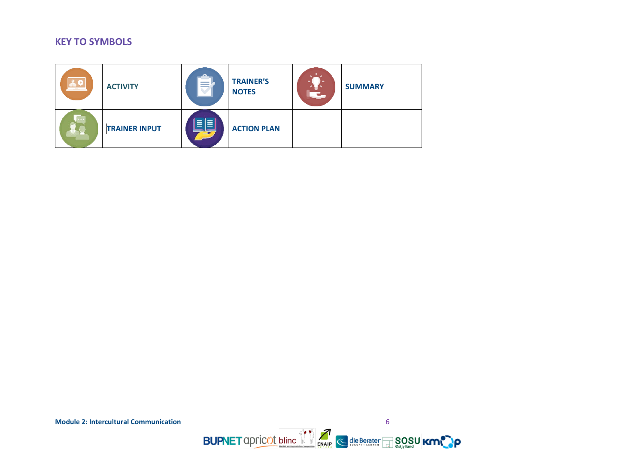# **KEY TO SYMBOLS**

| <u>io</u> | <b>ACTIVITY</b>      | $\frac{1}{2} \left( \frac{1}{2} \right) \left( \frac{1}{2} \right) \left( \frac{1}{2} \right) \left( \frac{1}{2} \right) \left( \frac{1}{2} \right) \left( \frac{1}{2} \right) \left( \frac{1}{2} \right) \left( \frac{1}{2} \right) \left( \frac{1}{2} \right) \left( \frac{1}{2} \right) \left( \frac{1}{2} \right) \left( \frac{1}{2} \right) \left( \frac{1}{2} \right) \left( \frac{1}{2} \right) \left( \frac{1}{2} \right) \left( \frac{1}{2} \right) \left( \frac$<br>__<br>___ | <b>TRAINER'S</b><br><b>NOTES</b> | <b>SUMMARY</b> |
|-----------|----------------------|-----------------------------------------------------------------------------------------------------------------------------------------------------------------------------------------------------------------------------------------------------------------------------------------------------------------------------------------------------------------------------------------------------------------------------------------------------------------------------------------|----------------------------------|----------------|
|           | <b>TRAINER INPUT</b> | l≣l<br>Ξ                                                                                                                                                                                                                                                                                                                                                                                                                                                                                | <b>ACTION PLAN</b>               |                |

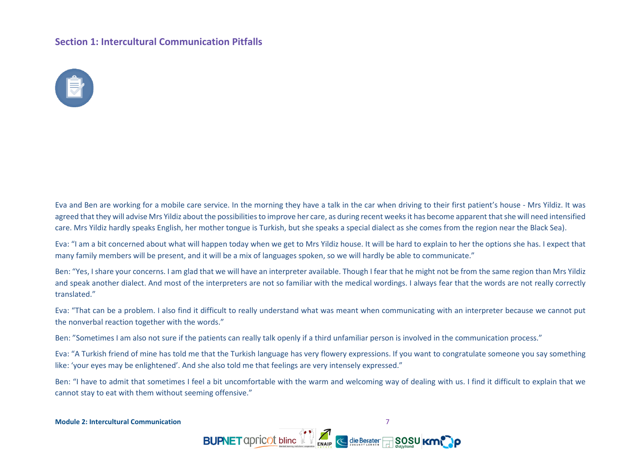# **Section 1: Intercultural Communication Pitfalls**



Eva and Ben are working for a mobile care service. In the morning they have a talk in the car when driving to their first patient's house - Mrs Yildiz. It was agreed that they will advise Mrs Yildiz about the possibilities to improve her care, as during recent weeks it has become apparent that she will need intensified care. Mrs Yildiz hardly speaks English, her mother tongue is Turkish, but she speaks a special dialect as she comes from the region near the Black Sea).

Eva: "I am a bit concerned about what will happen today when we get to Mrs Yildiz house. It will be hard to explain to her the options she has. I expect that many family members will be present, and it will be a mix of languages spoken, so we will hardly be able to communicate."

Ben: "Yes, I share your concerns. I am glad that we will have an interpreter available. Though I fear that he might not be from the same region than Mrs Yildiz and speak another dialect. And most of the interpreters are not so familiar with the medical wordings. I always fear that the words are not really correctly translated."

Eva: "That can be a problem. I also find it difficult to really understand what was meant when communicating with an interpreter because we cannot put the nonverbal reaction together with the words."

Ben: "Sometimes I am also not sure if the patients can really talk openly if a third unfamiliar person is involved in the communication process."

Eva: "A Turkish friend of mine has told me that the Turkish language has very flowery expressions. If you want to congratulate someone you say something like: 'your eyes may be enlightened'. And she also told me that feelings are very intensely expressed."

Ben: "I have to admit that sometimes I feel a bit uncomfortable with the warm and welcoming way of dealing with us. I find it difficult to explain that we cannot stay to eat with them without seeming offensive."



**Module 2: Intercultural Communication**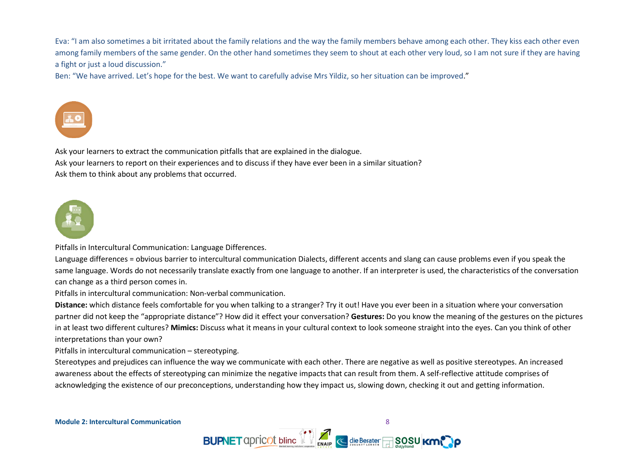Eva: "I am also sometimes a bit irritated about the family relations and the way the family members behave among each other. They kiss each other even among family members of the same gender. On the other hand sometimes they seem to shout at each other very loud, so I am not sure if they are having a fight or just a loud discussion."

Ben: "We have arrived. Let's hope for the best. We want to carefully advise Mrs Yildiz, so her situation can be improved."



Ask your learners to extract the communication pitfalls that are explained in the dialogue. Ask your learners to report on their experiences and to discuss if they have ever been in a similar situation? Ask them to think about any problems that occurred.



Pitfalls in Intercultural Communication: Language Differences.

Language differences = obvious barrier to intercultural communication Dialects, different accents and slang can cause problems even if you speak the same language. Words do not necessarily translate exactly from one language to another. If an interpreter is used, the characteristics of the conversation can change as a third person comes in.

Pitfalls in intercultural communication: Non-verbal communication.

**Distance:** which distance feels comfortable for you when talking to a stranger? Try it out! Have you ever been in a situation where your conversation partner did not keep the "appropriate distance"? How did it effect your conversation? **Gestures:** Do you know the meaning of the gestures on the pictures in at least two different cultures? **Mimics:** Discuss what it means in your cultural context to look someone straight into the eyes. Can you think of other interpretations than your own?

Pitfalls in intercultural communication – stereotyping.

Stereotypes and prejudices can influence the way we communicate with each other. There are negative as well as positive stereotypes. An increased awareness about the effects of stereotyping can minimize the negative impacts that can result from them. A self-reflective attitude comprises of acknowledging the existence of our preconceptions, understanding how they impact us, slowing down, checking it out and getting information.

**BUPNET** apricot bline  $\sum_{\text{ENAP}}$  e die Berater **SOSU KI**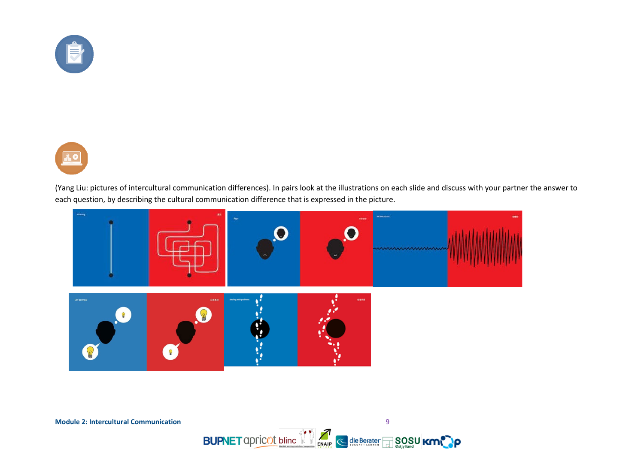



(Yang Liu: pictures of intercultural communication differences). In pairs look at the illustrations on each slide and discuss with your partner the answer to each question, by describing the cultural communication difference that is expressed in the picture.



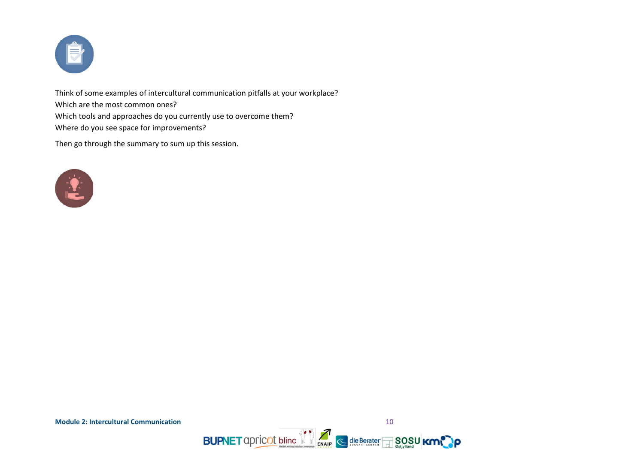

Think of some examples of intercultural communication pitfalls at your workplace? Which are the most common ones? Which tools and approaches do you currently use to overcome them? Where do you see space for improvements?

Then go through the summary to sum up this session.



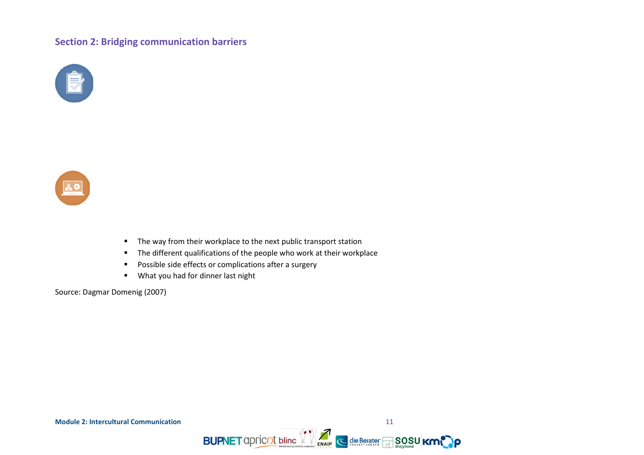# <span id="page-10-0"></span>**Section 2: Bridging communication barriers**





- The way from their workplace to the next public transport station
- The different qualifications of the people who work at their workplace
- **Possible side effects or complications after a surgery**
- **What you had for dinner last night**

Source: Dagmar Domenig (2007)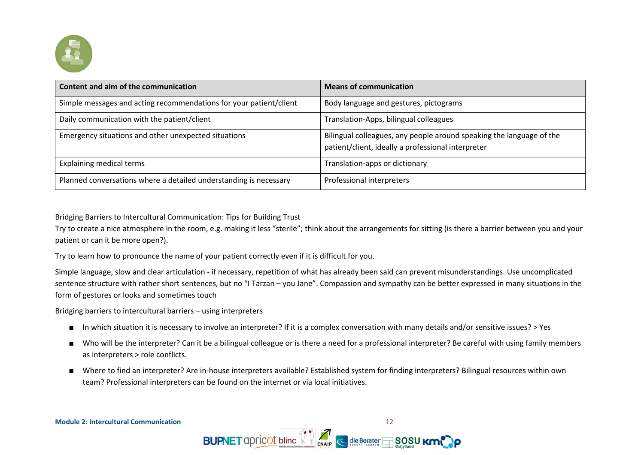

| Content and aim of the communication                               | <b>Means of communication</b>                                                                                              |  |  |
|--------------------------------------------------------------------|----------------------------------------------------------------------------------------------------------------------------|--|--|
| Simple messages and acting recommendations for your patient/client | Body language and gestures, pictograms                                                                                     |  |  |
| Daily communication with the patient/client                        | Translation-Apps, bilingual colleagues                                                                                     |  |  |
| Emergency situations and other unexpected situations               | Bilingual colleagues, any people around speaking the language of the<br>patient/client, ideally a professional interpreter |  |  |
| <b>Explaining medical terms</b>                                    | Translation-apps or dictionary                                                                                             |  |  |
| Planned conversations where a detailed understanding is necessary  | Professional interpreters                                                                                                  |  |  |

Bridging Barriers to Intercultural Communication: Tips for Building Trust

Try to create a nice atmosphere in the room, e.g. making it less "sterile"; think about the arrangements for sitting (is there a barrier between you and your patient or can it be more open?).

Try to learn how to pronounce the name of your patient correctly even if it is difficult for you.

Simple language, slow and clear articulation - if necessary, repetition of what has already been said can prevent misunderstandings. Use uncomplicated sentence structure with rather short sentences, but no "I Tarzan – you Jane". Compassion and sympathy can be better expressed in many situations in the form of gestures or looks and sometimes touch

Bridging barriers to intercultural barriers – using interpreters

- In which situation it is necessary to involve an interpreter? If it is a complex conversation with many details and/or sensitive issues? > Yes
- Who will be the interpreter? Can it be a bilingual colleague or is there a need for a professional interpreter? Be careful with using family members as interpreters > role conflicts.
- Where to find an interpreter? Are in-house interpreters available? Established system for finding interpreters? Bilingual resources within own team? Professional interpreters can be found on the internet or via local initiatives.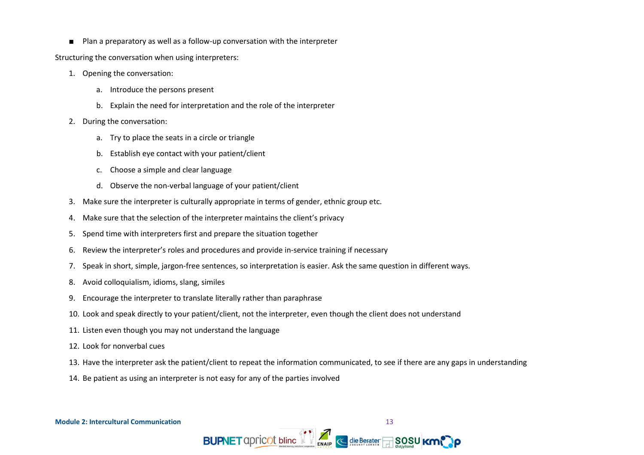■ Plan a preparatory as well as a follow-up conversation with the interpreter

Structuring the conversation when using interpreters:

- 1. Opening the conversation:
	- a. Introduce the persons present
	- b. Explain the need for interpretation and the role of the interpreter
- 2. During the conversation:
	- a. Try to place the seats in a circle or triangle
	- b. Establish eye contact with your patient/client
	- c. Choose a simple and clear language
	- d. Observe the non-verbal language of your patient/client
- 3. Make sure the interpreter is culturally appropriate in terms of gender, ethnic group etc.
- 4. Make sure that the selection of the interpreter maintains the client's privacy
- 5. Spend time with interpreters first and prepare the situation together
- 6. Review the interpreter's roles and procedures and provide in-service training if necessary
- 7. Speak in short, simple, jargon-free sentences, so interpretation is easier. Ask the same question in different ways.
- 8. Avoid colloquialism, idioms, slang, similes
- 9. Encourage the interpreter to translate literally rather than paraphrase
- 10. Look and speak directly to your patient/client, not the interpreter, even though the client does not understand
- 11. Listen even though you may not understand the language
- 12. Look for nonverbal cues
- 13. Have the interpreter ask the patient/client to repeat the information communicated, to see if there are any gaps in understanding
- 14. Be patient as using an interpreter is not easy for any of the parties involved

**Module 2: Intercultural Communication** 13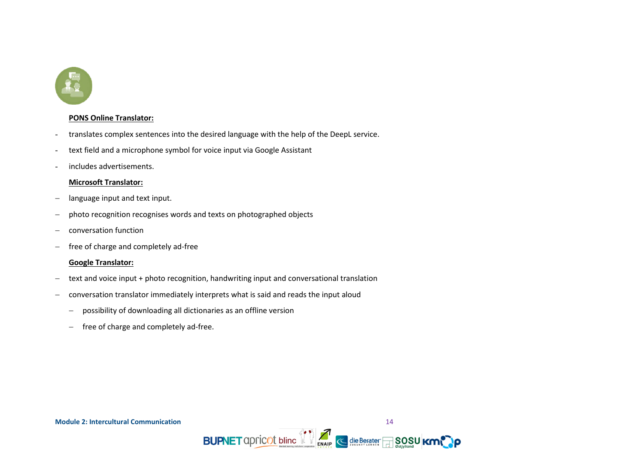

# **PONS Online Translator:**

- translates complex sentences into the desired language with the help of the DeepL service.
- text field and a microphone symbol for voice input via Google Assistant
- includes advertisements.

# **Microsoft Translator:**

- − language input and text input.
- − photo recognition recognises words and texts on photographed objects
- − conversation function
- − free of charge and completely ad-free

# **Google Translator:**

- − text and voice input + photo recognition, handwriting input and conversational translation
- − conversation translator immediately interprets what is said and reads the input aloud
	- − possibility of downloading all dictionaries as an offline version
	- − free of charge and completely ad-free.

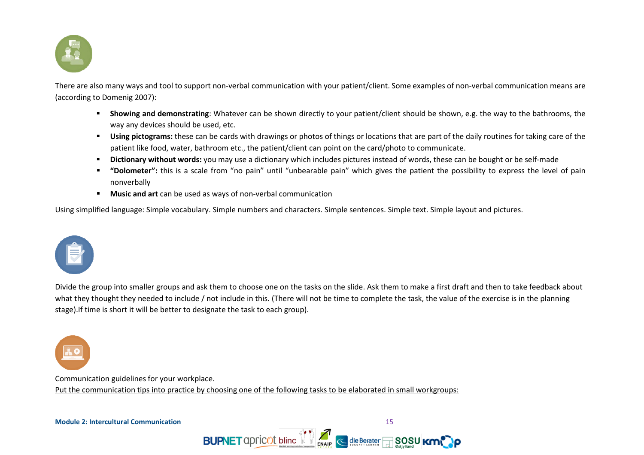

There are also many ways and tool to support non-verbal communication with your patient/client. Some examples of non-verbal communication means are (according to Domenig 2007):

- **Showing and demonstrating**: Whatever can be shown directly to your patient/client should be shown, e.g. the way to the bathrooms, the way any devices should be used, etc.
- **Using pictograms:** these can be cards with drawings or photos of things or locations that are part of the daily routines for taking care of the patient like food, water, bathroom etc., the patient/client can point on the card/photo to communicate.
- **Dictionary without words:** you may use a dictionary which includes pictures instead of words, these can be bought or be self-made
- **"Dolometer":** this is a scale from "no pain" until "unbearable pain" which gives the patient the possibility to express the level of pain nonverbally
- **Music and art** can be used as ways of non-verbal communication

Using simplified language: Simple vocabulary. Simple numbers and characters. Simple sentences. Simple text. Simple layout and pictures.



Divide the group into smaller groups and ask them to choose one on the tasks on the slide. Ask them to make a first draft and then to take feedback about what they thought they needed to include / not include in this. (There will not be time to complete the task, the value of the exercise is in the planning stage).If time is short it will be better to designate the task to each group).



Communication guidelines for your workplace. Put the communication tips into practice by choosing one of the following tasks to be elaborated in small workgroups:

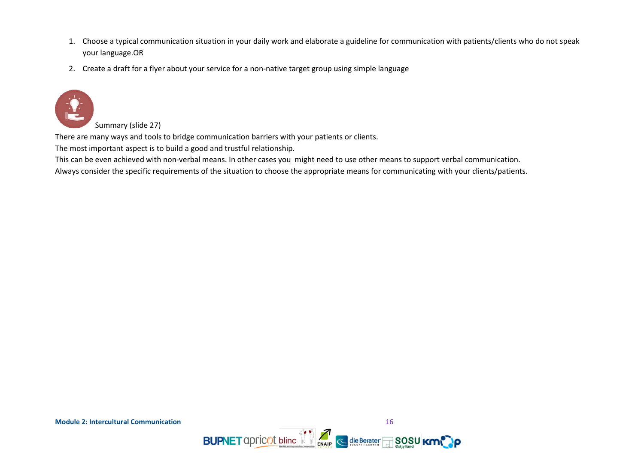- 1. Choose a typical communication situation in your daily work and elaborate a guideline for communication with patients/clients who do not speak your language.OR
- 2. Create a draft for a flyer about your service for a non-native target group using simple language



Summary (slide 27)

There are many ways and tools to bridge communication barriers with your patients or clients.

The most important aspect is to build a good and trustful relationship.

This can be even achieved with non-verbal means. In other cases you might need to use other means to support verbal communication.

<span id="page-15-0"></span>Always consider the specific requirements of the situation to choose the appropriate means for communicating with your clients/patients.

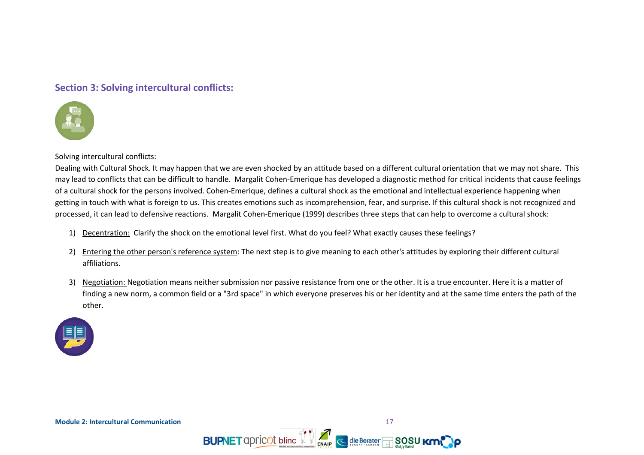# **Section 3: Solving intercultural conflicts:**



Solving intercultural conflicts:

Dealing with Cultural Shock. It may happen that we are even shocked by an attitude based on a different cultural orientation that we may not share. This may lead to conflicts that can be difficult to handle. Margalit Cohen-Emerique has developed a diagnostic method for critical incidents that cause feelings of a cultural shock for the persons involved. Cohen-Emerique, defines a cultural shock as the emotional and intellectual experience happening when getting in touch with what is foreign to us. This creates emotions such as incomprehension, fear, and surprise. If this cultural shock is not recognized and processed, it can lead to defensive reactions. Margalit Cohen-Emerique (1999) describes three steps that can help to overcome a cultural shock:

- 1) Decentration: Clarify the shock on the emotional level first. What do you feel? What exactly causes these feelings?
- 2) Entering the other person's reference system: The next step is to give meaning to each other's attitudes by exploring their different cultural affiliations.
- 3) Negotiation: Negotiation means neither submission nor passive resistance from one or the other. It is a true encounter. Here it is a matter of finding a new norm, a common field or a "3rd space" in which everyone preserves his or her identity and at the same time enters the path of the other.

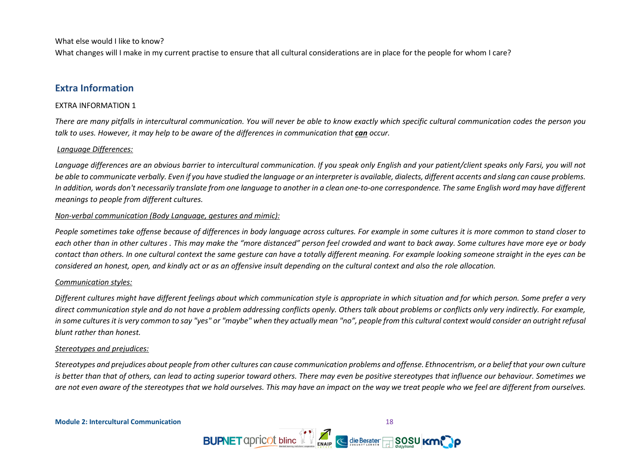What else would I like to know?

What changes will I make in my current practise to ensure that all cultural considerations are in place for the people for whom I care?

# **Extra Information**

# EXTRA INFORMATION 1

*There are many pitfalls in intercultural communication. You will never be able to know exactly which specific cultural communication codes the person you talk to uses. However, it may help to be aware of the differences in communication that can occur.*

# *Language Differences:*

*Language differences are an obvious barrier to intercultural communication. If you speak only English and your patient/client speaks only Farsi, you will not be able to communicate verbally. Even if you have studied the language or an interpreter is available, dialects, different accents and slang can cause problems. In addition, words don't necessarily translate from one language to another in a clean one-to-one correspondence. The same English word may have different meanings to people from different cultures.*

# *Non-verbal communication (Body Language, gestures and mimic):*

*People sometimes take offense because of differences in body language across cultures. For example in some cultures it is more common to stand closer to each other than in other cultures . This may make the "more distanced" person feel crowded and want to back away. Some cultures have more eye or body contact than others. In one cultural context the same gesture can have a totally different meaning. For example looking someone straight in the eyes can be considered an honest, open, and kindly act or as an offensive insult depending on the cultural context and also the role allocation.*

# *Communication styles:*

*Different cultures might have different feelings about which communication style is appropriate in which situation and for which person. Some prefer a very direct communication style and do not have a problem addressing conflicts openly. Others talk about problems or conflicts only very indirectly. For example, in some cultures it is very common to say "yes" or "maybe" when they actually mean "no", people from this cultural context would consider an outright refusal blunt rather than honest.* 

# *Stereotypes and prejudices:*

*Stereotypes and prejudices about people from other cultures can cause communication problems and offense. Ethnocentrism, or a belief that your own culture is better than that of others, can lead to acting superior toward others. There may even be positive stereotypes that influence our behaviour. Sometimes we*  are not even aware of the stereotypes that we hold ourselves. This may have an impact on the way we treat people who we feel are different from ourselves.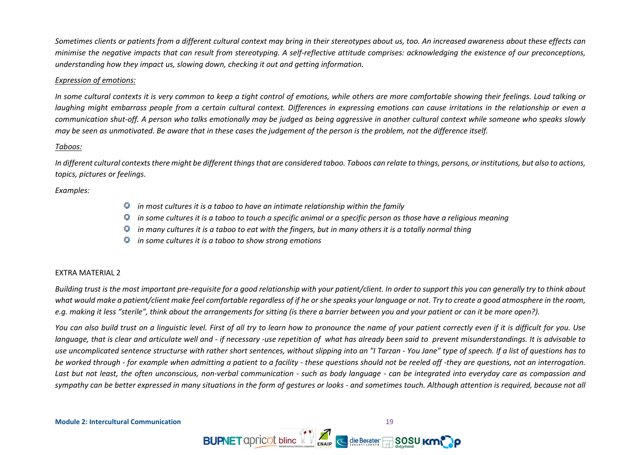*Sometimes clients or patients from a different cultural context may bring in their stereotypes about us, too. An increased awareness about these effects can minimise the negative impacts that can result from stereotyping. A self-reflective attitude comprises: acknowledging the existence of our preconceptions, understanding how they impact us, slowing down, checking it out and getting information.*

# *Expression of emotions:*

*In some cultural contexts it is very common to keep a tight control of emotions, while others are more comfortable showing their feelings. Loud talking or*  laughing might embarrass people from a certain cultural context. Differences in expressing emotions can cause irritations in the relationship or even a *communication shut-off. A person who talks emotionally may be judged as being aggressive in another cultural context while someone who speaks slowly may be seen as unmotivated. Be aware that in these cases the judgement of the person is the problem, not the difference itself.* 

# *Taboos:*

*In different cultural contexts there might be different things that are considered taboo. Taboos can relate to things, persons, or institutions, but also to actions, topics, pictures or feelings.* 

*Examples:*

- *in most cultures it is a taboo to have an intimate relationship within the family* 9
- *in some cultures it is a taboo to touch a specific animal or a specific person as those have a religious meaning* Ģ
- *in many cultures it is a taboo to eat with the fingers, but in many others it is a totally normal thing* g
- *in some cultures it is a taboo to show strong emotions* o

# EXTRA MATERIAL 2

*Building trust is the most important pre-requisite for a good relationship with your patient/client. In order to support this you can generally try to think about what would make a patient/client make feel comfortable regardless of if he or she speaks your language or not. Try to create a good atmosphere in the room,*  e.g. making it less "sterile", think about the arrangements for sitting (is there a barrier between you and your patient or can it be more open?).

*You can also build trust on a linguistic level. First of all try to learn how to pronounce the name of your patient correctly even if it is difficult for you. Use language, that is clear and articulate well and - if necessary -use repetition of what has already been said to prevent misunderstandings. It is advisable to use uncomplicated sentence structurse with rather short sentences, without slipping into an "I Tarzan - You Jane" type of speech. If a list of questions has to be worked through - for example when admitting a patient to a facility - these questions should not be reeled off -they are questions, not an interrogation. Last but not least, the often unconscious, non-verbal communication - such as body language - can be integrated into everyday care as compassion and sympathy can be better expressed in many situations in the form of gestures or looks - and sometimes touch. Although attention is required, because not all*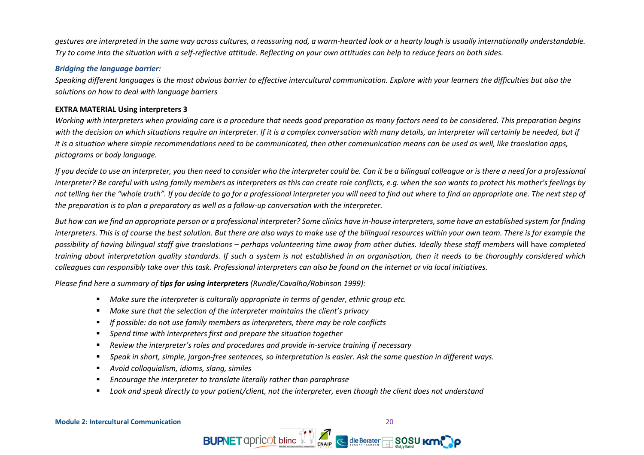*gestures are interpreted in the same way across cultures, a reassuring nod, a warm-hearted look or a hearty laugh is usually internationally understandable. Try to come into the situation with a self-reflective attitude. Reflecting on your own attitudes can help to reduce fears on both sides.*

# *Bridging the language barrier:*

*Speaking different languages is the most obvious barrier to effective intercultural communication. Explore with your learners the difficulties but also the solutions on how to deal with language barriers*

# **EXTRA MATERIAL Using interpreters 3**

*Working with interpreters when providing care is a procedure that needs good preparation as many factors need to be considered. This preparation begins with the decision on which situations require an interpreter. If it is a complex conversation with many details, an interpreter will certainly be needed, but if it is a situation where simple recommendations need to be communicated, then other communication means can be used as well, like translation apps, pictograms or body language.* 

*If you decide to use an interpreter, you then need to consider who the interpreter could be. Can it be a bilingual colleague or is there a need for a professional interpreter? Be careful with using family members as interpreters as this can create role conflicts, e.g. when the son wants to protect his mother's feelings by not telling her the "whole truth". If you decide to go for a professional interpreter you will need to find out where to find an appropriate one. The next step of the preparation is to plan a preparatory as well as a follow-up conversation with the interpreter.*

*But how can we find an appropriate person or a professional interpreter? Some clinics have in-house interpreters, some have an established system for finding interpreters. This is of course the best solution. But there are also ways to make use of the bilingual resources within your own team. There is for example the possibility of having bilingual staff give translations – perhaps volunteering time away from other duties. Ideally these staff members* will have *completed training about interpretation quality standards. If such a system is not established in an organisation, then it needs to be thoroughly considered which colleagues can responsibly take over this task. Professional interpreters can also be found on the internet or via local initiatives.* 

*Please find here a summary of tips for using interpreters (Rundle/Cavalho/Robinson 1999):*

- *Make sure the interpreter is culturally appropriate in terms of gender, ethnic group etc.*
- *Make sure that the selection of the interpreter maintains the client's privacy*
- *If possible: do not use family members as interpreters, there may be role conflicts*
- *Spend time with interpreters first and prepare the situation together*
- *Review the interpreter's roles and procedures and provide in-service training if necessary*
- *Speak in short, simple, jargon-free sentences, so interpretation is easier. Ask the same question in different ways.*
- *Avoid colloquialism, idioms, slang, similes*
- *Encourage the interpreter to translate literally rather than paraphrase*
- *Look and speak directly to your patient/client, not the interpreter, even though the client does not understand*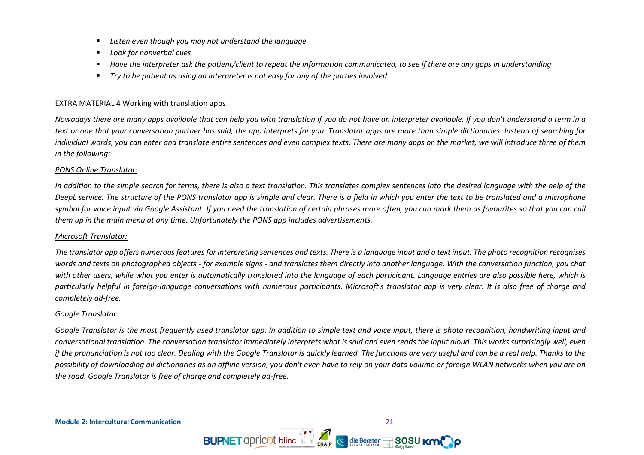- *Listen even though you may not understand the language*
- *Look for nonverbal cues*
- *Have the interpreter ask the patient/client to repeat the information communicated, to see if there are any gaps in understanding*
- *Try to be patient as using an interpreter is not easy for any of the parties involved*

# EXTRA MATERIAL 4 Working with translation apps

*Nowadays there are many apps available that can help you with translation if you do not have an interpreter available. If you don't understand a term in a text or one that your conversation partner has said, the app interprets for you. Translator apps are more than simple dictionaries. Instead of searching for individual words, you can enter and translate entire sentences and even complex texts. There are many apps on the market, we will introduce three of them in the following:* 

# *PONS Online Translator:*

*In addition to the simple search for terms, there is also a text translation. This translates complex sentences into the desired language with the help of the DeepL service. The structure of the PONS translator app is simple and clear. There is a field in which you enter the text to be translated and a microphone symbol for voice input via Google Assistant. If you need the translation of certain phrases more often, you can mark them as favourites so that you can call them up in the main menu at any time. Unfortunately the PONS app includes advertisements.*

# *Microsoft Translator:*

*The translator app offers numerous features for interpreting sentences and texts. There is a language input and a text input. The photo recognition recognises words and texts on photographed objects - for example signs - and translates them directly into another language. With the conversation function, you chat with other users, while what you enter is automatically translated into the language of each participant. Language entries are also possible here, which is particularly helpful in foreign-language conversations with numerous participants. Microsoft's translator app is very clear. It is also free of charge and completely ad-free.*

# *Google Translator:*

*Google Translator is the most frequently used translator app. In addition to simple text and voice input, there is photo recognition, handwriting input and conversational translation. The conversation translator immediately interprets what is said and even reads the input aloud. This works surprisingly well, even if the pronunciation is not too clear. Dealing with the Google Translator is quickly learned. The functions are very useful and can be a real help. Thanks to the possibility of downloading all dictionaries as an offline version, you don't even have to rely on your data volume or foreign WLAN networks when you are on the road. Google Translator is free of charge and completely ad-free.*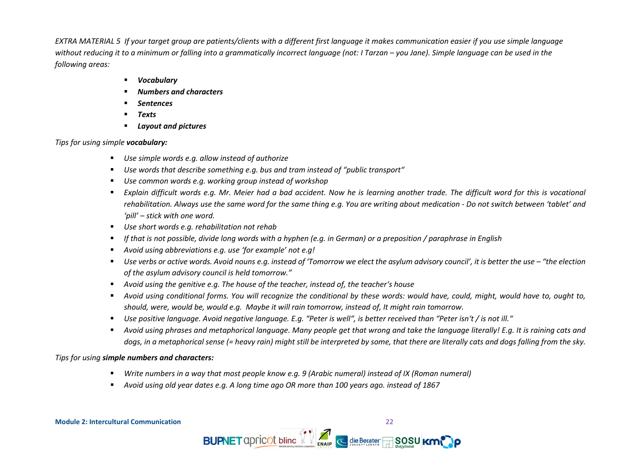*EXTRA MATERIAL 5 If your target group are patients/clients with a different first language it makes communication easier if you use simple language without reducing it to a minimum or falling into a grammatically incorrect language (not: I Tarzan – you Jane). Simple language can be used in the following areas:*

- *Vocabulary*
- *Numbers and characters*
- *Sentences*
- *Texts*
- *Layout and pictures*

# *Tips for using simple vocabulary:*

- *Use simple words e.g. allow instead of authorize*
- *Use words that describe something e.g. bus and tram instead of "public transport"*
- *Use common words e.g. working group instead of workshop*
- *Explain difficult words e.g. Mr. Meier had a bad accident. Now he is learning another trade. The difficult word for this is vocational rehabilitation. Always use the same word for the same thing e.g. You are writing about medication - Do not switch between 'tablet' and 'pill' – stick with one word.*
- *Use short words e.g. rehabilitation not rehab*
- *If that is not possible, divide long words with a hyphen (e.g. in German) or a preposition / paraphrase in English*
- *Avoid using abbreviations e.g. use 'for example' not e.g!*
- *Use verbs or active words. Avoid nouns e.g. instead of 'Tomorrow we elect the asylum advisory council', it is better the use – "the election of the asylum advisory council is held tomorrow."*
- *Avoid using the genitive e.g. The house of the teacher, instead of, the teacher's house*
- *Avoid using conditional forms. You will recognize the conditional by these words: would have, could, might, would have to, ought to, should, were, would be, would e.g. Maybe it will rain tomorrow, instead of, It might rain tomorrow.*
- *Use positive language. Avoid negative language. E.g. "Peter is well", is better received than "Peter isn't / is not ill."*
- *Avoid using phrases and metaphorical language. Many people get that wrong and take the language literally! E.g. It is raining cats and dogs, in a metaphorical sense (= heavy rain) might still be interpreted by some, that there are literally cats and dogs falling from the sky.*

# *Tips for using simple numbers and characters:*

- *Write numbers in a way that most people know e.g. 9 (Arabic numeral) instead of IX (Roman numeral)*
- *Avoid using old year dates e.g. A long time ago OR more than 100 years ago. instead of 1867*

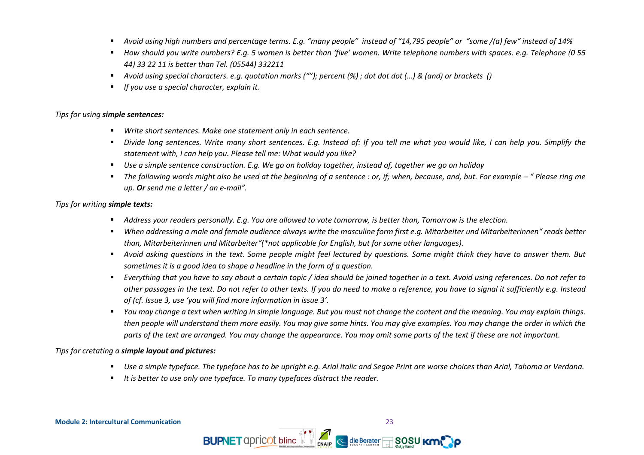- *Avoid using high numbers and percentage terms. E.g. "many people" instead of "14,795 people" or "some /(a) few" instead of 14%*
- *How should you write numbers? E.g. 5 women is better than 'five' women. Write telephone numbers with spaces. e.g. Telephone (0 55 44) 33 22 11 is better than Tel. (05544) 332211*
- *Avoid using special characters. e.g. quotation marks (""); percent (%) ; dot dot dot (…) & (and) or brackets ()*
- *If you use a special character, explain it.*

# *Tips for using simple sentences:*

- *Write short sentences. Make one statement only in each sentence.*
- *Divide long sentences. Write many short sentences. E.g. Instead of: If you tell me what you would like, I can help you. Simplify the statement with, I can help you. Please tell me: What would you like?*
- *Use a simple sentence construction. E.g. We go on holiday together, instead of, together we go on holiday*
- *The following words might also be used at the beginning of a sentence : or, if; when, because, and, but. For example – " Please ring me up. Or send me a letter / an e-mail".*

# *Tips for writing simple texts:*

- *Address your readers personally. E.g. You are allowed to vote tomorrow, is better than, Tomorrow is the election.*
- *When addressing a male and female audience always write the masculine form first e.g. Mitarbeiter und Mitarbeiterinnen" reads better than, Mitarbeiterinnen und Mitarbeiter"(\*not applicable for English, but for some other languages).*
- *Avoid asking questions in the text. Some people might feel lectured by questions. Some might think they have to answer them. But sometimes it is a good idea to shape a headline in the form of a question.*
- *Everything that you have to say about a certain topic / idea should be joined together in a text. Avoid using references. Do not refer to other passages in the text. Do not refer to other texts. If you do need to make a reference, you have to signal it sufficiently e.g. Instead of (cf. Issue 3, use 'you will find more information in issue 3'.*
- *You may change a text when writing in simple language. But you must not change the content and the meaning. You may explain things. then people will understand them more easily. You may give some hints. You may give examples. You may change the order in which the parts of the text are arranged. You may change the appearance. You may omit some parts of the text if these are not important.*

# *Tips for cretating a simple layout and pictures:*

- *Use a simple typeface. The typeface has to be upright e.g. Arial italic and Segoe Print are worse choices than Arial, Tahoma or Verdana.*
- *It is better to use only one typeface. To many typefaces distract the reader.*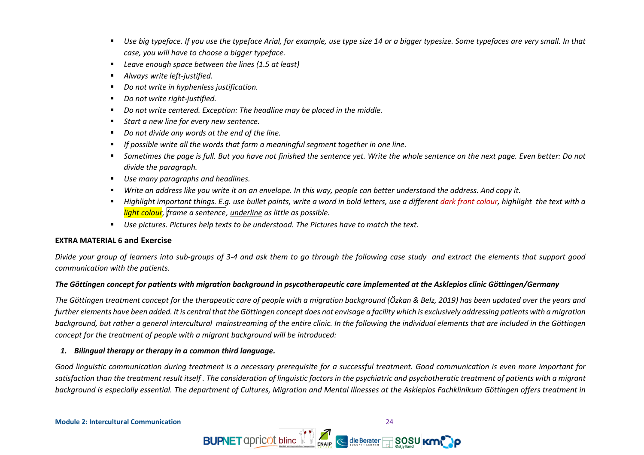- *Use big typeface. If you use the typeface Arial, for example, use type size 14 or a bigger typesize. Some typefaces are very small. In that case, you will have to choose a bigger typeface.*
- *Leave enough space between the lines (1.5 at least)*
- *Always write left-justified.*
- *Do not write in hyphenless justification.*
- *Do not write right-justified.*
- *Do not write centered. Exception: The headline may be placed in the middle.*
- *Start a new line for every new sentence.*
- *Do not divide any words at the end of the line.*
- *If possible write all the words that form a meaningful segment together in one line.*
- *Sometimes the page is full. But you have not finished the sentence yet. Write the whole sentence on the next page. Even better: Do not divide the paragraph.*
- *Use many paragraphs and headlines.*
- *Write an address like you write it on an envelope. In this way, people can better understand the address. And copy it.*
- *Highlight important things. E.g. use bullet points, write a word in bold letters, use a different dark front colour, highlight the text with a light colour, frame a sentence, underline as little as possible.*
- *Use pictures. Pictures help texts to be understood. The Pictures have to match the text.*

# **EXTRA MATERIAL 6 and Exercise**

*Divide your group of learners into sub-groups of 3-4 and ask them to go through the following case study and extract the elements that support good communication with the patients.*

# *The Göttingen concept for patients with migration background in psycotherapeutic care implemented at the Asklepios clinic Göttingen/Germany*

*The Göttingen treatment concept for the therapeutic care of people with a migration background (Özkan & Belz, 2019) has been updated over the years and further elements have been added. It is central that the Göttingen concept does not envisage a facility which is exclusively addressing patients with a migration background, but rather a general intercultural mainstreaming of the entire clinic. In the following the individual elements that are included in the Göttingen concept for the treatment of people with a migrant background will be introduced:*

# *1. Bilingual therapy or therapy in a common third language.*

*Good linguistic communication during treatment is a necessary prerequisite for a successful treatment. Good communication is even more important for satisfaction than the treatment result itself . The consideration of linguistic factors in the psychiatric and psychotheratic treatment of patients with a migrant background is especially essential. The department of Cultures, Migration and Mental Illnesses at the Asklepios Fachklinikum Göttingen offers treatment in* 

**BUPNET** apricot bline  $\sum_{k=1}^{n}$  elevater as **SOSU KM**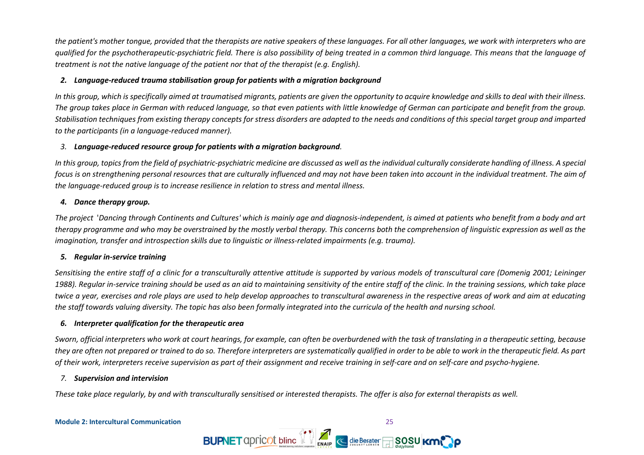*the patient's mother tongue, provided that the therapists are native speakers of these languages. For all other languages, we work with interpreters who are qualified for the psychotherapeutic-psychiatric field. There is also possibility of being treated in a common third language. This means that the language of treatment is not the native language of the patient nor that of the therapist (e.g. English).* 

# *2. Language-reduced trauma stabilisation group for patients with a migration background*

*In this group, which is specifically aimed at traumatised migrants, patients are given the opportunity to acquire knowledge and skills to deal with their illness. The group takes place in German with reduced language, so that even patients with little knowledge of German can participate and benefit from the group. Stabilisation techniques from existing therapy concepts for stress disorders are adapted to the needs and conditions of this special target group and imparted to the participants (in a language-reduced manner).*

# *3. Language-reduced resource group for patients with a migration background.*

*In this group, topics from the field of psychiatric-psychiatric medicine are discussed as well as the individual culturally considerate handling of illness. A special*  focus is on strengthening personal resources that are culturally influenced and may not have been taken into account in the individual treatment. The aim of *the language-reduced group is to increase resilience in relation to stress and mental illness.*

# *4. Dance therapy group.*

*The project* '*Dancing through Continents and Cultures' which is mainly age and diagnosis-independent, is aimed at patients who benefit from a body and art therapy programme and who may be overstrained by the mostly verbal therapy. This concerns both the comprehension of linguistic expression as well as the imagination, transfer and introspection skills due to linguistic or illness-related impairments (e.g. trauma).*

# *5. Regular in-service training*

*Sensitising the entire staff of a clinic for a transculturally attentive attitude is supported by various models of transcultural care (Domenig 2001; Leininger 1988). Regular in-service training should be used as an aid to maintaining sensitivity of the entire staff of the clinic. In the training sessions, which take place twice a year, exercises and role plays are used to help develop approaches to transcultural awareness in the respective areas of work and aim at educating the staff towards valuing diversity. The topic has also been formally integrated into the curricula of the health and nursing school.*

# *6. Interpreter qualification for the therapeutic area*

*Sworn, official interpreters who work at court hearings, for example, can often be overburdened with the task of translating in a therapeutic setting, because they are often not prepared or trained to do so. Therefore interpreters are systematically qualified in order to be able to work in the therapeutic field. As part of their work, interpreters receive supervision as part of their assignment and receive training in self-care and on self-care and psycho-hygiene.*

# *7. Supervision and intervision*

*These take place regularly, by and with transculturally sensitised or interested therapists. The offer is also for external therapists as well.*

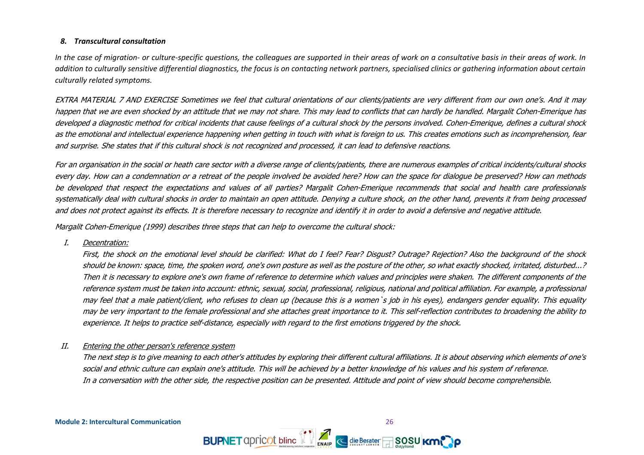# *8. Transcultural consultation*

*In the case of migration- or culture-specific questions, the colleagues are supported in their areas of work on a consultative basis in their areas of work. In addition to culturally sensitive differential diagnostics, the focus is on contacting network partners, specialised clinics or gathering information about certain culturally related symptoms.*

EXTRA MATERIAL 7 AND EXERCISE Sometimes we feel that cultural orientations of our clients/patients are very different from our own one's. And it may happen that we are even shocked by an attitude that we may not share. This may lead to conflicts that can hardly be handled. Margalit Cohen-Emerique has developed a diagnostic method for critical incidents that cause feelings of a cultural shock by the persons involved. Cohen-Emerique, defines a cultural shock as the emotional and intellectual experience happening when getting in touch with what is foreign to us. This creates emotions such as incomprehension, fear and surprise. She states that if this cultural shock is not recognized and processed, it can lead to defensive reactions.

For an organisation in the social or heath care sector with a diverse range of clients/patients, there are numerous examples of critical incidents/cultural shocks every day. How can a condemnation or a retreat of the people involved be avoided here? How can the space for dialogue be preserved? How can methods be developed that respect the expectations and values of all parties? Margalit Cohen-Emerique recommends that social and health care professionals systematically deal with cultural shocks in order to maintain an open attitude. Denying a culture shock, on the other hand, prevents it from being processed and does not protect against its effects. It is therefore necessary to recognize and identify it in order to avoid a defensive and negative attitude.

Margalit Cohen-Emerique (1999) describes three steps that can help to overcome the cultural shock:

I. Decentration:

First, the shock on the emotional level should be clarified: What do I feel? Fear? Disgust? Outrage? Rejection? Also the background of the shock should be known: space, time, the spoken word, one's own posture as well as the posture of the other, so what exactly shocked, irritated, disturbed...? Then it is necessary to explore one's own frame of reference to determine which values and principles were shaken. The different components of the reference system must be taken into account: ethnic, sexual, social, professional, religious, national and political affiliation. For example, a professional may feel that a male patient/client, who refuses to clean up (because this is a women`s job in his eyes), endangers gender equality. This equality may be very important to the female professional and she attaches great importance to it. This self-reflection contributes to broadening the ability to experience. It helps to practice self-distance, especially with regard to the first emotions triggered by the shock.

# II. Entering the other person's reference system

The next step is to give meaning to each other's attitudes by exploring their different cultural affiliations. It is about observing which elements of one's social and ethnic culture can explain one's attitude. This will be achieved by a better knowledge of his values and his system of reference. In a conversation with the other side, the respective position can be presented. Attitude and point of view should become comprehensible.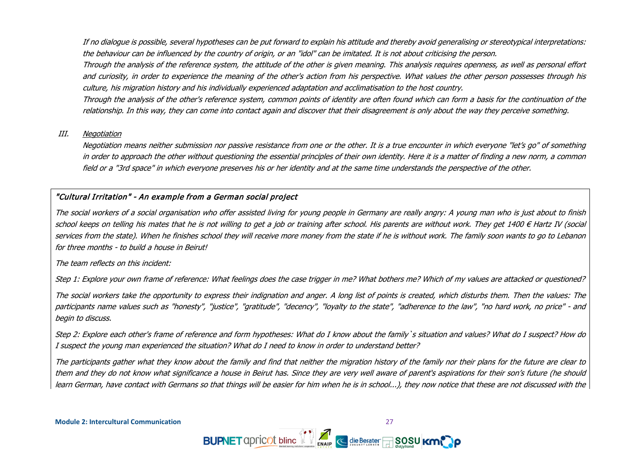If no dialogue is possible, several hypotheses can be put forward to explain his attitude and thereby avoid generalising or stereotypical interpretations: the behaviour can be influenced by the country of origin, or an "idol" can be imitated. It is not about criticising the person.

Through the analysis of the reference system, the attitude of the other is given meaning. This analysis requires openness, as well as personal effort and curiosity, in order to experience the meaning of the other's action from his perspective. What values the other person possesses through his culture, his migration history and his individually experienced adaptation and acclimatisation to the host country.

Through the analysis of the other's reference system, common points of identity are often found which can form a basis for the continuation of the relationship. In this way, they can come into contact again and discover that their disagreement is only about the way they perceive something.

# III. Negotiation

Negotiation means neither submission nor passive resistance from one or the other. It is a true encounter in which everyone "let's go" of something in order to approach the other without questioning the essential principles of their own identity. Here it is a matter of finding a new norm, a common field or a "3rd space" in which everyone preserves his or her identity and at the same time understands the perspective of the other.

# "Cultural Irritation" - An example from a German social project

The social workers of a social organisation who offer assisted living for young people in Germany are really angry: A young man who is just about to finish school keeps on telling his mates that he is not willing to get a job or training after school. His parents are without work. They get 1400  $\epsilon$  Hartz IV (social services from the state). When he finishes school they will receive more money from the state if he is without work. The family soon wants to go to Lebanon for three months - to build a house in Beirut!

The team reflects on this incident:

Step 1: Explore your own frame of reference: What feelings does the case trigger in me? What bothers me? Which of my values are attacked or questioned?

The social workers take the opportunity to express their indignation and anger. A long list of points is created, which disturbs them. Then the values: The participants name values such as "honesty", "justice", "gratitude", "decency", "loyalty to the state", "adherence to the law", "no hard work, no price" - and begin to discuss.

Step 2: Explore each other's frame of reference and form hypotheses: What do I know about the family`s situation and values? What do I suspect? How do I suspect the young man experienced the situation? What do I need to know in order to understand better?

The participants gather what they know about the family and find that neither the migration history of the family nor their plans for the future are clear to them and they do not know what significance a house in Beirut has. Since they are very well aware of parent's aspirations for their son's future (he should learn German, have contact with Germans so that things will be easier for him when he is in school...), they now notice that these are not discussed with the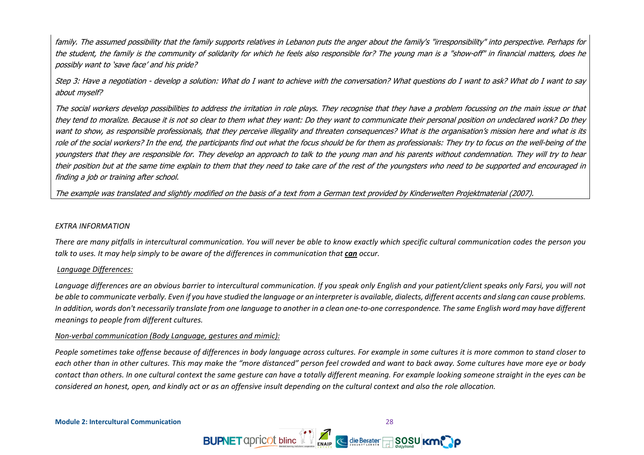family. The assumed possibility that the family supports relatives in Lebanon puts the anger about the family's "irresponsibility" into perspective. Perhaps for the student, the family is the community of solidarity for which he feels also responsible for? The young man is a "show-off" in financial matters, does he possibly want to 'save face' and his pride?

Step 3: Have a negotiation - develop a solution: What do I want to achieve with the conversation? What questions do I want to ask? What do I want to say about myself?

The social workers develop possibilities to address the irritation in role plays. They recognise that they have a problem focussing on the main issue or that they tend to moralize. Because it is not so clear to them what they want: Do they want to communicate their personal position on undeclared work? Do they want to show, as responsible professionals, that they perceive illegality and threaten consequences? What is the organisation's mission here and what is its role of the social workers? In the end, the participants find out what the focus should be for them as professionals: They try to focus on the well-being of the youngsters that they are responsible for. They develop an approach to talk to the young man and his parents without condemnation. They will try to hear their position but at the same time explain to them that they need to take care of the rest of the youngsters who need to be supported and encouraged in finding a job or training after school.

The example was translated and slightly modified on the basis of a text from a German text provided by Kinderwelten Projektmaterial (2007).

# *EXTRA INFORMATION*

*There are many pitfalls in intercultural communication. You will never be able to know exactly which specific cultural communication codes the person you talk to uses. It may help simply to be aware of the differences in communication that can occur.*

# *Language Differences:*

*Language differences are an obvious barrier to intercultural communication. If you speak only English and your patient/client speaks only Farsi, you will not be able to communicate verbally. Even if you have studied the language or an interpreter is available, dialects, different accents and slang can cause problems. In addition, words don't necessarily translate from one language to another in a clean one-to-one correspondence. The same English word may have different meanings to people from different cultures.*

# *Non-verbal communication (Body Language, gestures and mimic):*

*People sometimes take offense because of differences in body language across cultures. For example in some cultures it is more common to stand closer to each other than in other cultures. This may make the "more distanced" person feel crowded and want to back away. Some cultures have more eye or body contact than others. In one cultural context the same gesture can have a totally different meaning. For example looking someone straight in the eyes can be considered an honest, open, and kindly act or as an offensive insult depending on the cultural context and also the role allocation.*

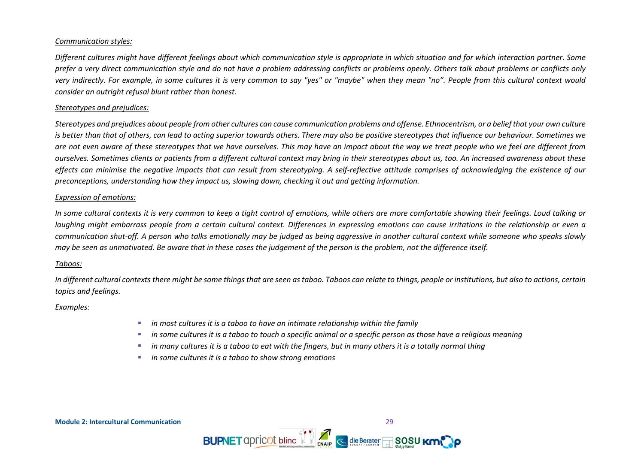# *Communication styles:*

*Different cultures might have different feelings about which communication style is appropriate in which situation and for which interaction partner. Some prefer a very direct communication style and do not have a problem addressing conflicts or problems openly. Others talk about problems or conflicts only very indirectly. For example, in some cultures it is very common to say "yes" or "maybe" when they mean "no". People from this cultural context would consider an outright refusal blunt rather than honest.* 

# *Stereotypes and prejudices:*

*Stereotypes and prejudices about people from other cultures can cause communication problems and offense. Ethnocentrism, or a belief that your own culture is better than that of others, can lead to acting superior towards others. There may also be positive stereotypes that influence our behaviour. Sometimes we are not even aware of these stereotypes that we have ourselves. This may have an impact about the way we treat people who we feel are different from ourselves. Sometimes clients or patients from a different cultural context may bring in their stereotypes about us, too. An increased awareness about these effects can minimise the negative impacts that can result from stereotyping. A self-reflective attitude comprises of acknowledging the existence of our preconceptions, understanding how they impact us, slowing down, checking it out and getting information.*

# *Expression of emotions:*

*In some cultural contexts it is very common to keep a tight control of emotions, while others are more comfortable showing their feelings. Loud talking or laughing might embarrass people from a certain cultural context. Differences in expressing emotions can cause irritations in the relationship or even a communication shut-off. A person who talks emotionally may be judged as being aggressive in another cultural context while someone who speaks slowly may be seen as unmotivated. Be aware that in these cases the judgement of the person is the problem, not the difference itself.*

# *Taboos:*

*In different cultural contexts there might be some things that are seen as taboo. Taboos can relate to things, people or institutions, but also to actions, certain topics and feelings.* 

# *Examples:*

- *in most cultures it is a taboo to have an intimate relationship within the family*
- *in some cultures it is a taboo to touch a specific animal or a specific person as those have a religious meaning*
- *in many cultures it is a taboo to eat with the fingers, but in many others it is a totally normal thing*
- *in some cultures it is a taboo to show strong emotions*

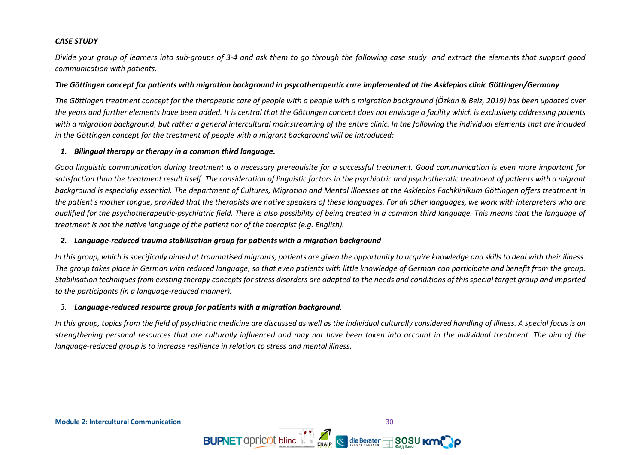# *CASE STUDY*

*Divide your group of learners into sub-groups of 3-4 and ask them to go through the following case study and extract the elements that support good communication with patients.*

# *The Göttingen concept for patients with migration background in psycotherapeutic care implemented at the Asklepios clinic Göttingen/Germany*

*The Göttingen treatment concept for the therapeutic care of people with a people with a migration background (Özkan & Belz, 2019) has been updated over*  the years and further elements have been added. It is central that the Göttingen concept does not envisage a facility which is exclusively addressing patients with a migration background, but rather a general intercultural mainstreaming of the entire clinic. In the following the individual elements that are included *in the Göttingen concept for the treatment of people with a migrant background will be introduced:*

# *1. Bilingual therapy or therapy in a common third language.*

*Good linguistic communication during treatment is a necessary prerequisite for a successful treatment. Good communication is even more important for satisfaction than the treatment result itself. The consideration of linguistic factors in the psychiatric and psychotheratic treatment of patients with a migrant background is especially essential. The department of Cultures, Migration and Mental Illnesses at the Asklepios Fachklinikum Göttingen offers treatment in the patient's mother tongue, provided that the therapists are native speakers of these languages. For all other languages, we work with interpreters who are qualified for the psychotherapeutic-psychiatric field. There is also possibility of being treated in a common third language. This means that the language of treatment is not the native language of the patient nor of the therapist (e.g. English).* 

# *2. Language-reduced trauma stabilisation group for patients with a migration background*

*In this group, which is specifically aimed at traumatised migrants, patients are given the opportunity to acquire knowledge and skills to deal with their illness. The group takes place in German with reduced language, so that even patients with little knowledge of German can participate and benefit from the group. Stabilisation techniques from existing therapy concepts for stress disorders are adapted to the needs and conditions of this special target group and imparted to the participants (in a language-reduced manner).*

# *3. Language-reduced resource group for patients with a migration background.*

*In this group, topics from the field of psychiatric medicine are discussed as well as the individual culturally considered handling of illness. A special focus is on strengthening personal resources that are culturally influenced and may not have been taken into account in the individual treatment. The aim of the language-reduced group is to increase resilience in relation to stress and mental illness.*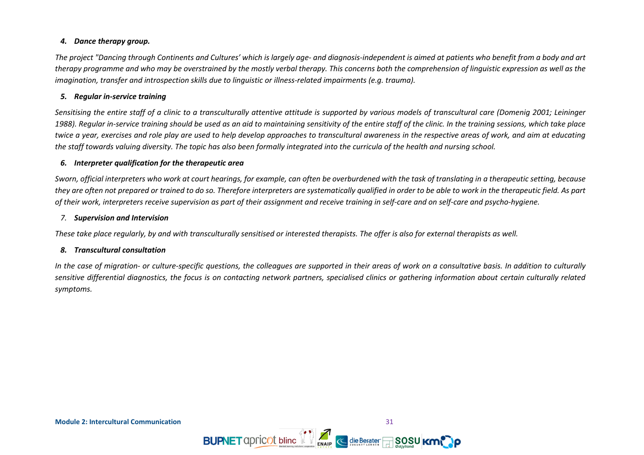# *4. Dance therapy group.*

*The project "Dancing through Continents and Cultures' which is largely age- and diagnosis-independent is aimed at patients who benefit from a body and art therapy programme and who may be overstrained by the mostly verbal therapy. This concerns both the comprehension of linguistic expression as well as the imagination, transfer and introspection skills due to linguistic or illness-related impairments (e.g. trauma).*

# *5. Regular in-service training*

*Sensitising the entire staff of a clinic to a transculturally attentive attitude is supported by various models of transcultural care (Domenig 2001; Leininger 1988). Regular in-service training should be used as an aid to maintaining sensitivity of the entire staff of the clinic. In the training sessions, which take place twice a year, exercises and role play are used to help develop approaches to transcultural awareness in the respective areas of work, and aim at educating the staff towards valuing diversity. The topic has also been formally integrated into the curricula of the health and nursing school.*

# *6. Interpreter qualification for the therapeutic area*

*Sworn, official interpreters who work at court hearings, for example, can often be overburdened with the task of translating in a therapeutic setting, because they are often not prepared or trained to do so. Therefore interpreters are systematically qualified in order to be able to work in the therapeutic field. As part of their work, interpreters receive supervision as part of their assignment and receive training in self-care and on self-care and psycho-hygiene.*

# *7. Supervision and Intervision*

*These take place regularly, by and with transculturally sensitised or interested therapists. The offer is also for external therapists as well.*

# *8. Transcultural consultation*

*In the case of migration- or culture-specific questions, the colleagues are supported in their areas of work on a consultative basis. In addition to culturally sensitive differential diagnostics, the focus is on contacting network partners, specialised clinics or gathering information about certain culturally related symptoms.*